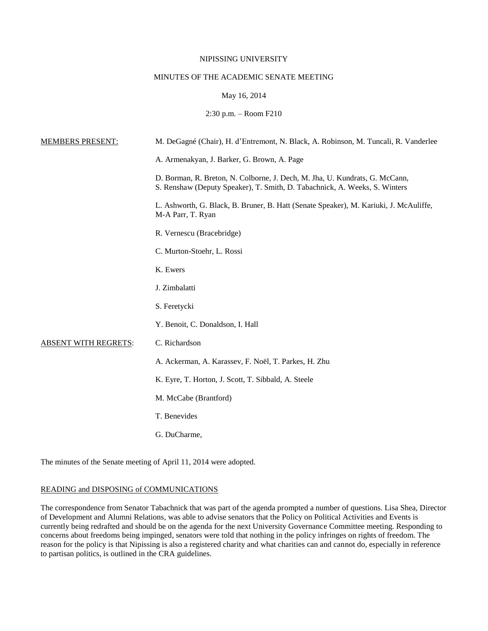#### NIPISSING UNIVERSITY

# MINUTES OF THE ACADEMIC SENATE MEETING

# May 16, 2014

2:30 p.m. – Room F210

| <b>MEMBERS PRESENT:</b>     | M. DeGagné (Chair), H. d'Entremont, N. Black, A. Robinson, M. Tuncali, R. Vanderlee                                                                       |
|-----------------------------|-----------------------------------------------------------------------------------------------------------------------------------------------------------|
|                             | A. Armenakyan, J. Barker, G. Brown, A. Page                                                                                                               |
|                             | D. Borman, R. Breton, N. Colborne, J. Dech, M. Jha, U. Kundrats, G. McCann,<br>S. Renshaw (Deputy Speaker), T. Smith, D. Tabachnick, A. Weeks, S. Winters |
|                             | L. Ashworth, G. Black, B. Bruner, B. Hatt (Senate Speaker), M. Kariuki, J. McAuliffe,<br>M-A Parr, T. Ryan                                                |
|                             | R. Vernescu (Bracebridge)                                                                                                                                 |
|                             | C. Murton-Stoehr, L. Rossi                                                                                                                                |
|                             | K. Ewers                                                                                                                                                  |
|                             | J. Zimbalatti                                                                                                                                             |
|                             | S. Feretycki                                                                                                                                              |
|                             | Y. Benoit, C. Donaldson, I. Hall                                                                                                                          |
| <b>ABSENT WITH REGRETS:</b> | C. Richardson                                                                                                                                             |
|                             | A. Ackerman, A. Karassev, F. Noël, T. Parkes, H. Zhu                                                                                                      |
|                             | K. Eyre, T. Horton, J. Scott, T. Sibbald, A. Steele                                                                                                       |
|                             | M. McCabe (Brantford)                                                                                                                                     |
|                             | T. Benevides                                                                                                                                              |
|                             | G. DuCharme,                                                                                                                                              |

The minutes of the Senate meeting of April 11, 2014 were adopted.

### READING and DISPOSING of COMMUNICATIONS

The correspondence from Senator Tabachnick that was part of the agenda prompted a number of questions. Lisa Shea, Director of Development and Alumni Relations, was able to advise senators that the Policy on Political Activities and Events is currently being redrafted and should be on the agenda for the next University Governance Committee meeting. Responding to concerns about freedoms being impinged, senators were told that nothing in the policy infringes on rights of freedom. The reason for the policy is that Nipissing is also a registered charity and what charities can and cannot do, especially in reference to partisan politics, is outlined in the CRA guidelines.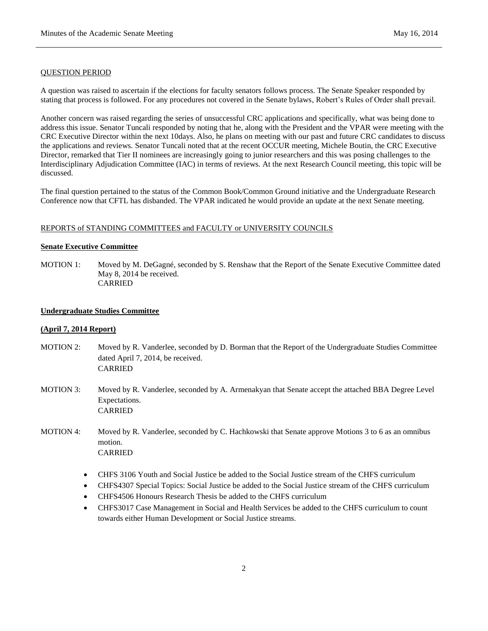### QUESTION PERIOD

A question was raised to ascertain if the elections for faculty senators follows process. The Senate Speaker responded by stating that process is followed. For any procedures not covered in the Senate bylaws, Robert's Rules of Order shall prevail.

Another concern was raised regarding the series of unsuccessful CRC applications and specifically, what was being done to address this issue. Senator Tuncali responded by noting that he, along with the President and the VPAR were meeting with the CRC Executive Director within the next 10days. Also, he plans on meeting with our past and future CRC candidates to discuss the applications and reviews. Senator Tuncali noted that at the recent OCCUR meeting, Michele Boutin, the CRC Executive Director, remarked that Tier II nominees are increasingly going to junior researchers and this was posing challenges to the Interdisciplinary Adjudication Committee (IAC) in terms of reviews. At the next Research Council meeting, this topic will be discussed.

The final question pertained to the status of the Common Book/Common Ground initiative and the Undergraduate Research Conference now that CFTL has disbanded. The VPAR indicated he would provide an update at the next Senate meeting.

# REPORTS of STANDING COMMITTEES and FACULTY or UNIVERSITY COUNCILS

#### **Senate Executive Committee**

MOTION 1: Moved by M. DeGagné, seconded by S. Renshaw that the Report of the Senate Executive Committee dated May 8, 2014 be received. CARRIED

#### **Undergraduate Studies Committee**

### **(April 7, 2014 Report)**

- MOTION 2: Moved by R. Vanderlee, seconded by D. Borman that the Report of the Undergraduate Studies Committee dated April 7, 2014, be received. CARRIED
- MOTION 3: Moved by R. Vanderlee, seconded by A. Armenakyan that Senate accept the attached BBA Degree Level Expectations. CARRIED
- MOTION 4: Moved by R. Vanderlee, seconded by C. Hachkowski that Senate approve Motions 3 to 6 as an omnibus motion. CARRIED
	- CHFS 3106 Youth and Social Justice be added to the Social Justice stream of the CHFS curriculum
	- CHFS4307 Special Topics: Social Justice be added to the Social Justice stream of the CHFS curriculum
	- CHFS4506 Honours Research Thesis be added to the CHFS curriculum
	- CHFS3017 Case Management in Social and Health Services be added to the CHFS curriculum to count towards either Human Development or Social Justice streams.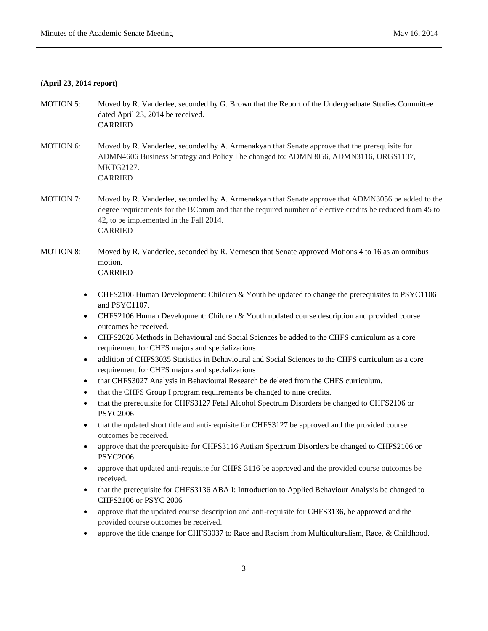### **(April 23, 2014 report)**

- MOTION 5: Moved by R. Vanderlee, seconded by G. Brown that the Report of the Undergraduate Studies Committee dated April 23, 2014 be received. CARRIED
- MOTION 6: Moved by R. Vanderlee, seconded by A. Armenakyan that Senate approve that the prerequisite for ADMN4606 Business Strategy and Policy I be changed to: ADMN3056, ADMN3116, ORGS1137, MKTG2127. CARRIED
- MOTION 7: Moved by R. Vanderlee, seconded by A. Armenakyan that Senate approve that ADMN3056 be added to the degree requirements for the BComm and that the required number of elective credits be reduced from 45 to 42, to be implemented in the Fall 2014. CARRIED

# MOTION 8: Moved by R. Vanderlee, seconded by R. Vernescu that Senate approved Motions 4 to 16 as an omnibus motion. CARRIED

- CHFS2106 Human Development: Children & Youth be updated to change the prerequisites to PSYC1106 and PSYC1107.
- CHFS2106 Human Development: Children & Youth updated course description and provided course outcomes be received.
- CHFS2026 Methods in Behavioural and Social Sciences be added to the CHFS curriculum as a core requirement for CHFS majors and specializations
- addition of CHFS3035 Statistics in Behavioural and Social Sciences to the CHFS curriculum as a core requirement for CHFS majors and specializations
- that CHFS3027 Analysis in Behavioural Research be deleted from the CHFS curriculum.
- that the CHFS Group I program requirements be changed to nine credits.
- that the prerequisite for CHFS3127 Fetal Alcohol Spectrum Disorders be changed to CHFS2106 or PSYC2006
- that the updated short title and anti-requisite for CHFS3127 be approved and the provided course outcomes be received.
- approve that the prerequisite for CHFS3116 Autism Spectrum Disorders be changed to CHFS2106 or PSYC2006.
- approve that updated anti-requisite for CHFS 3116 be approved and the provided course outcomes be received.
- that the prerequisite for CHFS3136 ABA I: Introduction to Applied Behaviour Analysis be changed to CHFS2106 or PSYC 2006
- approve that the updated course description and anti-requisite for CHFS3136, be approved and the provided course outcomes be received.
- approve the title change for CHFS3037 to Race and Racism from Multiculturalism, Race, & Childhood.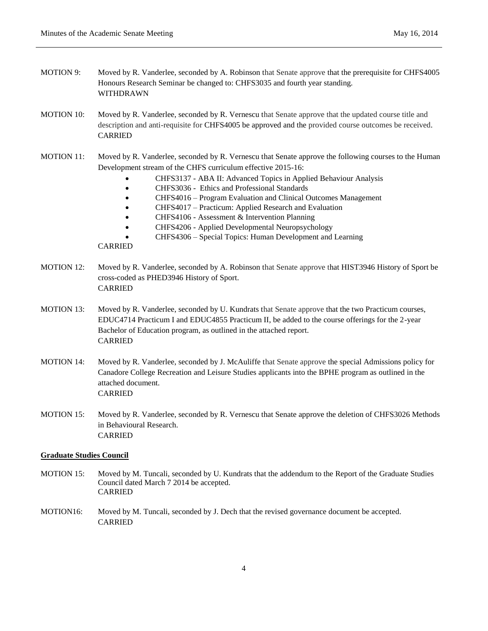- MOTION 9: Moved by R. Vanderlee, seconded by A. Robinson that Senate approve that the prerequisite for CHFS4005 Honours Research Seminar be changed to: CHFS3035 and fourth year standing. WITHDRAWN
- MOTION 10: Moved by R. Vanderlee, seconded by R. Vernescu that Senate approve that the updated course title and description and anti-requisite for CHFS4005 be approved and the provided course outcomes be received. CARRIED
- MOTION 11: Moved by R. Vanderlee, seconded by R. Vernescu that Senate approve the following courses to the Human Development stream of the CHFS curriculum effective 2015-16:
	- CHFS3137 ABA II: Advanced Topics in Applied Behaviour Analysis
	- CHFS3036 Ethics and Professional Standards
	- CHFS4016 Program Evaluation and Clinical Outcomes Management
	- CHFS4017 Practicum: Applied Research and Evaluation
	- CHFS4106 Assessment & Intervention Planning
	- CHFS4206 Applied Developmental Neuropsychology
	- CHFS4306 Special Topics: Human Development and Learning

# CARRIED

- MOTION 12: Moved by R. Vanderlee, seconded by A. Robinson that Senate approve that HIST3946 History of Sport be cross-coded as PHED3946 History of Sport. CARRIED
- MOTION 13: Moved by R. Vanderlee, seconded by U. Kundrats that Senate approve that the two Practicum courses, EDUC4714 Practicum I and EDUC4855 Practicum II, be added to the course offerings for the 2-year Bachelor of Education program, as outlined in the attached report. CARRIED
- MOTION 14: Moved by R. Vanderlee, seconded by J. McAuliffe that Senate approve the special Admissions policy for Canadore College Recreation and Leisure Studies applicants into the BPHE program as outlined in the attached document. CARRIED
- MOTION 15: Moved by R. Vanderlee, seconded by R. Vernescu that Senate approve the deletion of CHFS3026 Methods in Behavioural Research. CARRIED

### **Graduate Studies Council**

- MOTION 15: Moved by M. Tuncali, seconded by U. Kundrats that the addendum to the Report of the Graduate Studies Council dated March 7 2014 be accepted. CARRIED
- MOTION16: Moved by M. Tuncali, seconded by J. Dech that the revised governance document be accepted. CARRIED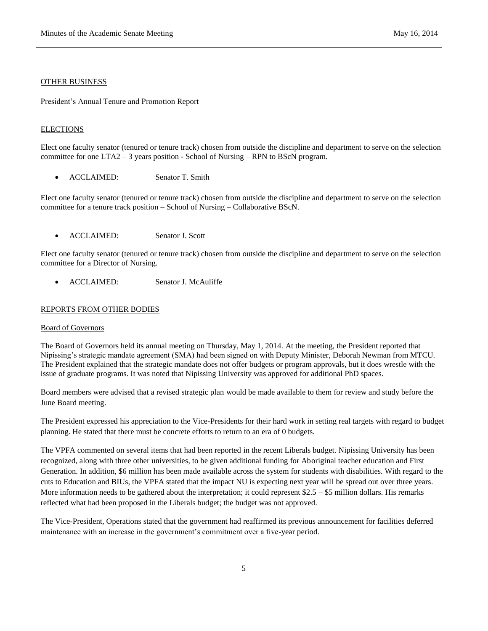#### OTHER BUSINESS

President's Annual Tenure and Promotion Report

### **ELECTIONS**

Elect one faculty senator (tenured or tenure track) chosen from outside the discipline and department to serve on the selection committee for one LTA2 – 3 years position - School of Nursing – RPN to BScN program.

• ACCLAIMED: Senator T. Smith

Elect one faculty senator (tenured or tenure track) chosen from outside the discipline and department to serve on the selection committee for a tenure track position – School of Nursing – Collaborative BScN.

ACCLAIMED: Senator J. Scott

Elect one faculty senator (tenured or tenure track) chosen from outside the discipline and department to serve on the selection committee for a Director of Nursing.

• ACCLAIMED: Senator J. McAuliffe

#### REPORTS FROM OTHER BODIES

#### Board of Governors

The Board of Governors held its annual meeting on Thursday, May 1, 2014. At the meeting, the President reported that Nipissing's strategic mandate agreement (SMA) had been signed on with Deputy Minister, Deborah Newman from MTCU. The President explained that the strategic mandate does not offer budgets or program approvals, but it does wrestle with the issue of graduate programs. It was noted that Nipissing University was approved for additional PhD spaces.

Board members were advised that a revised strategic plan would be made available to them for review and study before the June Board meeting.

The President expressed his appreciation to the Vice-Presidents for their hard work in setting real targets with regard to budget planning. He stated that there must be concrete efforts to return to an era of 0 budgets.

The VPFA commented on several items that had been reported in the recent Liberals budget. Nipissing University has been recognized, along with three other universities, to be given additional funding for Aboriginal teacher education and First Generation. In addition, \$6 million has been made available across the system for students with disabilities. With regard to the cuts to Education and BIUs, the VPFA stated that the impact NU is expecting next year will be spread out over three years. More information needs to be gathered about the interpretation; it could represent  $$2.5 - $5$  million dollars. His remarks reflected what had been proposed in the Liberals budget; the budget was not approved.

The Vice-President, Operations stated that the government had reaffirmed its previous announcement for facilities deferred maintenance with an increase in the government's commitment over a five-year period.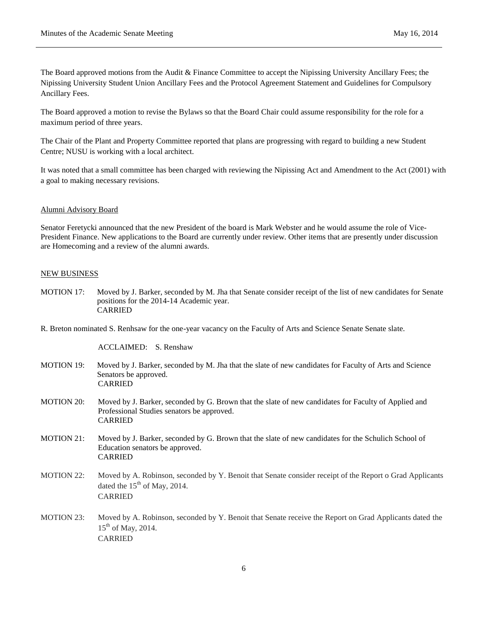The Board approved motions from the Audit & Finance Committee to accept the Nipissing University Ancillary Fees; the Nipissing University Student Union Ancillary Fees and the Protocol Agreement Statement and Guidelines for Compulsory Ancillary Fees.

The Board approved a motion to revise the Bylaws so that the Board Chair could assume responsibility for the role for a maximum period of three years.

The Chair of the Plant and Property Committee reported that plans are progressing with regard to building a new Student Centre; NUSU is working with a local architect.

It was noted that a small committee has been charged with reviewing the Nipissing Act and Amendment to the Act (2001) with a goal to making necessary revisions.

#### Alumni Advisory Board

Senator Feretycki announced that the new President of the board is Mark Webster and he would assume the role of Vice-President Finance. New applications to the Board are currently under review. Other items that are presently under discussion are Homecoming and a review of the alumni awards.

#### NEW BUSINESS

MOTION 17: Moved by J. Barker, seconded by M. Jha that Senate consider receipt of the list of new candidates for Senate positions for the 2014-14 Academic year. CARRIED

R. Breton nominated S. Renhsaw for the one-year vacancy on the Faculty of Arts and Science Senate Senate slate.

ACCLAIMED: S. Renshaw

CARRIED

MOTION 19: Moved by J. Barker, seconded by M. Jha that the slate of new candidates for Faculty of Arts and Science Senators be approved. CARRIED MOTION 20: Moved by J. Barker, seconded by G. Brown that the slate of new candidates for Faculty of Applied and Professional Studies senators be approved. CARRIED MOTION 21: Moved by J. Barker, seconded by G. Brown that the slate of new candidates for the Schulich School of Education senators be approved. CARRIED MOTION 22: Moved by A. Robinson, seconded by Y. Benoit that Senate consider receipt of the Report o Grad Applicants dated the  $15<sup>th</sup>$  of May, 2014. CARRIED MOTION 23: Moved by A. Robinson, seconded by Y. Benoit that Senate receive the Report on Grad Applicants dated the  $15<sup>th</sup>$  of May, 2014.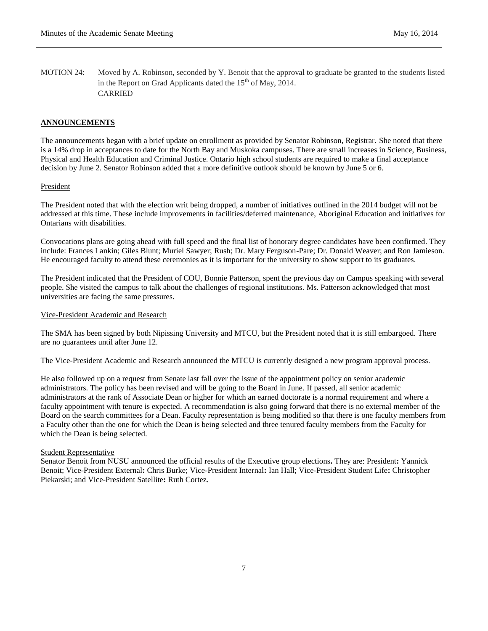MOTION 24: Moved by A. Robinson, seconded by Y. Benoit that the approval to graduate be granted to the students listed in the Report on Grad Applicants dated the  $15<sup>th</sup>$  of May, 2014. CARRIED

## **ANNOUNCEMENTS**

The announcements began with a brief update on enrollment as provided by Senator Robinson, Registrar. She noted that there is a 14% drop in acceptances to date for the North Bay and Muskoka campuses. There are small increases in Science, Business, Physical and Health Education and Criminal Justice. Ontario high school students are required to make a final acceptance decision by June 2. Senator Robinson added that a more definitive outlook should be known by June 5 or 6.

#### President

The President noted that with the election writ being dropped, a number of initiatives outlined in the 2014 budget will not be addressed at this time. These include improvements in facilities/deferred maintenance, Aboriginal Education and initiatives for Ontarians with disabilities.

Convocations plans are going ahead with full speed and the final list of honorary degree candidates have been confirmed. They include: Frances Lankin; Giles Blunt; Muriel Sawyer; Rush; Dr. Mary Ferguson-Pare; Dr. Donald Weaver; and Ron Jamieson. He encouraged faculty to attend these ceremonies as it is important for the university to show support to its graduates.

The President indicated that the President of COU, Bonnie Patterson, spent the previous day on Campus speaking with several people. She visited the campus to talk about the challenges of regional institutions. Ms. Patterson acknowledged that most universities are facing the same pressures.

## Vice-President Academic and Research

The SMA has been signed by both Nipissing University and MTCU, but the President noted that it is still embargoed. There are no guarantees until after June 12.

The Vice-President Academic and Research announced the MTCU is currently designed a new program approval process.

He also followed up on a request from Senate last fall over the issue of the appointment policy on senior academic administrators. The policy has been revised and will be going to the Board in June. If passed, all senior academic administrators at the rank of Associate Dean or higher for which an earned doctorate is a normal requirement and where a faculty appointment with tenure is expected. A recommendation is also going forward that there is no external member of the Board on the search committees for a Dean. Faculty representation is being modified so that there is one faculty members from a Faculty other than the one for which the Dean is being selected and three tenured faculty members from the Faculty for which the Dean is being selected.

### Student Representative

Senator Benoit from NUSU announced the official results of the Executive group elections**.** They are: President**:** Yannick Benoit; Vice-President External**:** Chris Burke; Vice-President Internal**:** Ian Hall; Vice-President Student Life**:** Christopher Piekarski; and Vice-President Satellite**:** Ruth Cortez.